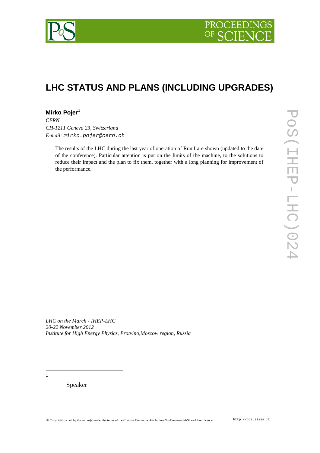

# **LHC STATUS AND PLANS (INCLUDING UPGRADES)**

## **Mirko Pojer[1](#page-0-0)**

*CERN CH-1211 Geneva 23, Switzerland E-mail: mirko.pojer@cern.ch*

> The results of the LHC during the last year of operation of Run I are shown (updated to the date of the conference). Particular attention is put on the limits of the machine, to the solutions to reduce their impact and the plan to fix them, together with a long planning for improvement of the performance.

*LHC on the March - IHEP-LHC 20-22 November 2012 Institute for High Energy Physics, Protvino,Moscow region, Russia* 

<span id="page-0-0"></span>-<br>1

Speaker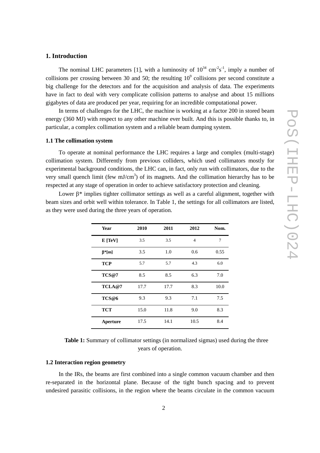## **1. Introduction**

The nominal LHC parameters [1], with a luminosity of  $10^{34}$  cm<sup>-2</sup>s<sup>-1</sup>, imply a number of collisions per crossing between 30 and 50; the resulting  $10^9$  collisions per second constitute a big challenge for the detectors and for the acquisition and analysis of data. The experiments have in fact to deal with very complicate collision patterns to analyse and about 15 millions gigabytes of data are produced per year, requiring for an incredible computational power.

In terms of challenges for the LHC, the machine is working at a factor 200 in stored beam energy (360 MJ) with respect to any other machine ever built. And this is possible thanks to, in particular, a complex collimation system and a reliable beam dumping system.

#### **1.1 The collimation system**

To operate at nominal performance the LHC requires a large and complex (multi-stage) collimation system. Differently from previous colliders, which used collimators mostly for experimental background conditions, the LHC can, in fact, only run with collimators, due to the very small quench limit (few  $mJ/cm<sup>3</sup>$ ) of its magnets. And the collimation hierarchy has to be respected at any stage of operation in order to achieve satisfactory protection and cleaning.

Lower  $\beta^*$  implies tighter collimator settings as well as a careful alignment, together with beam sizes and orbit well within tolerance. In Table 1, the settings for all collimators are listed, as they were used during the three years of operation.

| <b>Year</b>   | 2010 | 2011 | 2012           | Nom. |
|---------------|------|------|----------------|------|
| E[TeV]        | 3.5  | 3.5  | $\overline{4}$ | 7    |
| $\beta^*$ [m] | 3.5  | 1.0  | 0.6            | 0.55 |
| <b>TCP</b>    | 5.7  | 5.7  | 4.3            | 6.0  |
| TCS@7         | 8.5  | 8.5  | 6.3            | 7.0  |
| TCLA@7        | 17.7 | 17.7 | 8.3            | 10.0 |
| TCS@6         | 9.3  | 9.3  | 7.1            | 7.5  |
| <b>TCT</b>    | 15.0 | 11.8 | 9.0            | 8.3  |
| Aperture      | 17.5 | 14.1 | 10.5           | 8.4  |

| <b>Table 1:</b> Summary of collimator settings (in normalized sigmas) used during the three |  |
|---------------------------------------------------------------------------------------------|--|
| years of operation.                                                                         |  |

#### **1.2 Interaction region geometry**

In the IRs, the beams are first combined into a single common vacuum chamber and then re-separated in the horizontal plane. Because of the tight bunch spacing and to prevent undesired parasitic collisions, in the region where the beams circulate in the common vacuum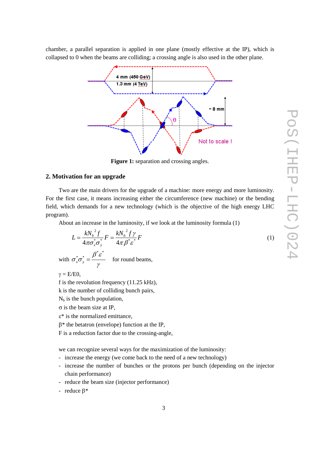chamber, a parallel separation is applied in one plane (mostly effective at the IP), which is collapsed to 0 when the beams are colliding; a crossing angle is also used in the other plane.



**Figure 1:** separation and crossing angles.

## **2. Motivation for an upgrade**

Two are the main drivers for the upgrade of a machine: more energy and more luminosity. For the first case, it means increasing either the circumference (new machine) or the bending field, which demands for a new technology (which is the objective of the high energy LHC program).

About an increase in the luminosity, if we look at the luminosity formula (1)

$$
L = \frac{kN_b^2 f}{4\pi \sigma_x^* \sigma_y^*} F = \frac{kN_b^2 f \gamma}{4\pi \beta^* \varepsilon^*} F
$$
 (1)

with γ  $\sigma^* \sigma^* = \frac{\beta^* \varepsilon}{\sigma^*}$  $*$   $\sim$  $x^*_{x} \sigma_y^* = \frac{\rho \sigma_y}{\sigma_y}$  for round beams,

 $\gamma = E/E0$ ,

f is the revolution frequency (11.25 kHz),

k is the number of colliding bunch pairs,

 $N_b$  is the bunch population,

 $\sigma$  is the beam size at IP,

ε\* is the normalized emittance,

β\* the betatron (envelope) function at the IP,

F is a reduction factor due to the crossing-angle,

we can recognize several ways for the maximization of the luminosity:

- increase the energy (we come back to the need of a new technology)
- increase the number of bunches or the protons per bunch (depending on the injector chain performance)
- reduce the beam size (injector performance)

- reduce β\*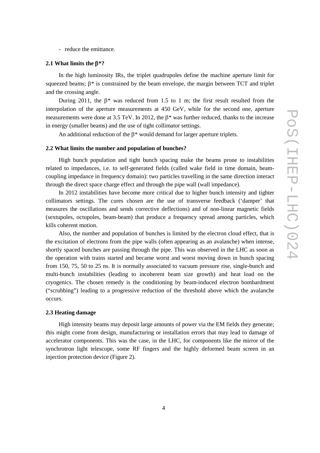- reduce the emittance.

#### **2.1 What limits the** β**\*?**

In the high luminosity IRs, the triplet quadrupoles define the machine aperture limit for squeezed beams;  $\beta^*$  is constrained by the beam envelope, the margin between TCT and triplet and the crossing angle.

During 2011, the  $\beta^*$  was reduced from 1.5 to 1 m; the first result resulted from the interpolation of the aperture measurements at 450 GeV, while for the second one, aperture measurements were done at 3.5 TeV. In 2012, the β\* was further reduced, thanks to the increase in energy (smaller beams) and the use of tight collimator settings.

An additional reduction of the β\* would demand for larger aperture triplets.

#### **2.2 What limits the number and population of bunches?**

High bunch population and tight bunch spacing make the beams prone to instabilities related to impedances, i.e. to self-generated fields (called wake field in time domain, beamcoupling impedance in frequency domain): two particles travelling in the same direction interact through the direct space charge effect and through the pipe wall (wall impedance).

In 2012 instabilities have become more critical due to higher bunch intensity and tighter collimators settings. The cures chosen are the use of transverse feedback ('damper' that measures the oscillations and sends corrective deflections) and of non-linear magnetic fields (sextupoles, octupoles, beam-beam) that produce a frequency spread among particles, which kills coherent motion.

Also, the number and population of bunches is limited by the electron cloud effect, that is the excitation of electrons from the pipe walls (often appearing as an avalanche) when intense, shortly spaced bunches are passing through the pipe. This was observed in the LHC as soon as the operation with trains started and became worst and worst moving down in bunch spacing from 150, 75, 50 to 25 ns. It is normally associated to vacuum pressure rise, single-bunch and multi-bunch instabilities (leading to incoherent beam size growth) and heat load on the cryogenics. The chosen remedy is the conditioning by beam-induced electron bombardment ("scrubbing") leading to a progressive reduction of the threshold above which the avalanche occurs.

#### **2.3 Heating damage**

High intensity beams may deposit large amounts of power via the EM fields they generate; this might come from design, manufacturing or installation errors that may lead to damage of accelerator components. This was the case, in the LHC, for components like the mirror of the synchrotron light telescope, some RF fingers and the highly deformed beam screen in an injection protection device (Figure 2).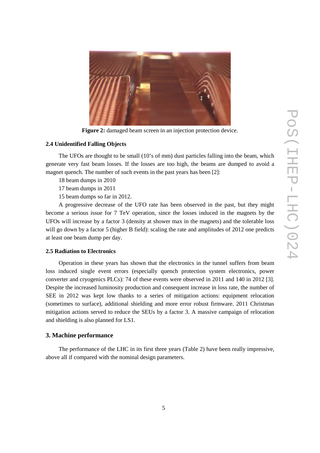

**Figure 2:** damaged beam screen in an injection protection device.

## **2.4 Unidentified Falling Objects**

The UFOs are thought to be small (10's of mm) dust particles falling into the beam, which generate very fast beam losses. If the losses are too high, the beams are dumped to avoid a magnet quench. The number of such events in the past years has been [2]:

18 beam dumps in 2010

17 beam dumps in 2011

15 beam dumps so far in 2012.

A progressive decrease of the UFO rate has been observed in the past, but they might become a serious issue for 7 TeV operation, since the losses induced in the magnets by the UFOs will increase by a factor 3 (density at shower max in the magnets) and the tolerable loss will go down by a factor 5 (higher B field): scaling the rate and amplitudes of 2012 one predicts at least one beam dump per day.

## **2.5 Radiation to Electronics**

Operation in these years has shown that the electronics in the tunnel suffers from beam loss induced single event errors (especially quench protection system electronics, power converter and cryogenics PLCs): 74 of these events were observed in 2011 and 140 in 2012 [3]. Despite the increased luminosity production and consequent increase in loss rate, the number of SEE in 2012 was kept low thanks to a series of mitigation actions: equipment relocation (sometimes to surface), additional shielding and more error robust firmware. 2011 Christmas mitigation actions served to reduce the SEUs by a factor 3. A massive campaign of relocation and shielding is also planned for LS1.

## **3. Machine performance**

The performance of the LHC in its first three years (Table 2) have been really impressive, above all if compared with the nominal design parameters.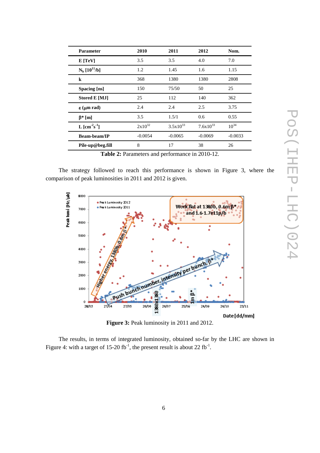| <b>Parameter</b>           | 2010        | 2011          | 2012          | Nom.      |
|----------------------------|-------------|---------------|---------------|-----------|
| E[TeV]                     | 3.5         | 3.5           | 4.0           | 7.0       |
| $N_b [10^{11}/b]$          | 1.2         | 1.45          | 1.6           | 1.15      |
| $\bf k$                    | 368         | 1380          | 1380          | 2808      |
| Spacing [ns]               | 150         | 75/50         | 50            | 25        |
| <b>Stored E [MJ]</b>       | 25          | 112           | 140           | 362       |
| $\epsilon$ (µm rad)        | 2.4         | 2.4           | 2.5           | 3.75      |
| $\beta^*$ [m]              | 3.5         | 1.5/1         | 0.6           | 0.55      |
| L $\rm[cm^2s^{\text{-}1}]$ | $2x10^{32}$ | $3.5x10^{33}$ | $7.6x10^{33}$ | $10^{34}$ |
| <b>Beam-beam/IP</b>        | $-0.0054$   | $-0.0065$     | $-0.0069$     | $-0.0033$ |
| Pile-up@beg.fill           | 8           | 17            | 38            | 26        |

**Table 2:** Parameters and performance in 2010-12.

The strategy followed to reach this performance is shown in Figure 3, where the comparison of peak luminosities in 2011 and 2012 is given.



**Figure 3:** Peak luminosity in 2011 and 2012.

The results, in terms of integrated luminosity, obtained so-far by the LHC are shown in Figure 4: with a target of 15-20 fb<sup>-1</sup>, the present result is about 22 fb<sup>-1</sup>.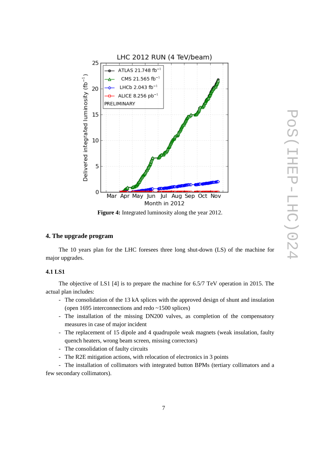

**Figure 4:** Integrated luminosity along the year 2012.

### **4. The upgrade program**

The 10 years plan for the LHC foresees three long shut-down (LS) of the machine for major upgrades.

#### **4.1 LS1**

The objective of LS1 [4] is to prepare the machine for 6.5/7 TeV operation in 2015. The actual plan includes:

- The consolidation of the 13 kA splices with the approved design of shunt and insulation (open 1695 interconnections and redo ~1500 splices)
- The installation of the missing DN200 valves, as completion of the compensatory measures in case of major incident
- The replacement of 15 dipole and 4 quadrupole weak magnets (weak insulation, faulty quench heaters, wrong beam screen, missing correctors)
- The consolidation of faulty circuits
- The R2E mitigation actions, with relocation of electronics in 3 points
- The installation of collimators with integrated button BPMs (tertiary collimators and a few secondary collimators).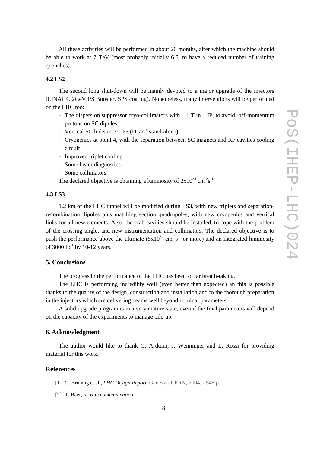All these activities will be performed in about 20 months, after which the machine should be able to work at 7 TeV (most probably initially 6.5, to have a reduced number of training quenches).

## **4.2 LS2**

The second long shut-down will be mainly devoted to a major upgrade of the injectors (LINAC4, 2GeV PS Booster, SPS coating). Nonetheless, many interventions will be performed on the LHC too:

- The dispersion suppressor cryo-collimators with 11 T in 1 IP, to avoid off-momentum protons on SC dipoles
- Vertical SC links in P1, P5 (IT and stand-alone)
- Cryogenics at point 4, with the separation between SC magnets and RF cavities cooling circuit
- Improved triplet cooling
- Some beam diagnostics
- Some collimators.

The declared objective is obtaining a luminosity of  $2x10^{34}$  cm<sup>-2</sup>s<sup>-1</sup>.

#### **4.3 LS3**

1.2 km of the LHC tunnel will be modified during LS3, with new triplets and separationrecombination dipoles plus matching section quadrupoles, with new cryogenics and vertical links for all new elements. Also, the crab cavities should be installed, to cope with the problem of the crossing angle, and new instrumentation and collimators. The declared objective is to push the performance above the ultimate  $(5x10^{34} \text{ cm}^2 \text{s}^{-1})$  or more) and an integrated luminosity of 3000 fb<sup>-1</sup> by 10-12 years.

## **5. Conclusions**

The progress in the performance of the LHC has been so far breath-taking.

The LHC is performing incredibly well (even better than expected) an this is possible thanks to the quality of the design, construction and installation and to the thorough preparation in the injectors which are delivering beams well beyond nominal parameters.

A solid upgrade program is in a very mature state, even if the final parameters will depend on the capacity of the experiments to manage pile-up.

### **6. Acknowledgment**

The author would like to thank G. Arduini, J. Wenninger and L. Rossi for providing material for this work.

#### **References**

- [1] O. Bruning et al., *LHC Design Report,* Geneva : CERN, 2004. 548 p.
- [2] T. Baer, *private communication*.